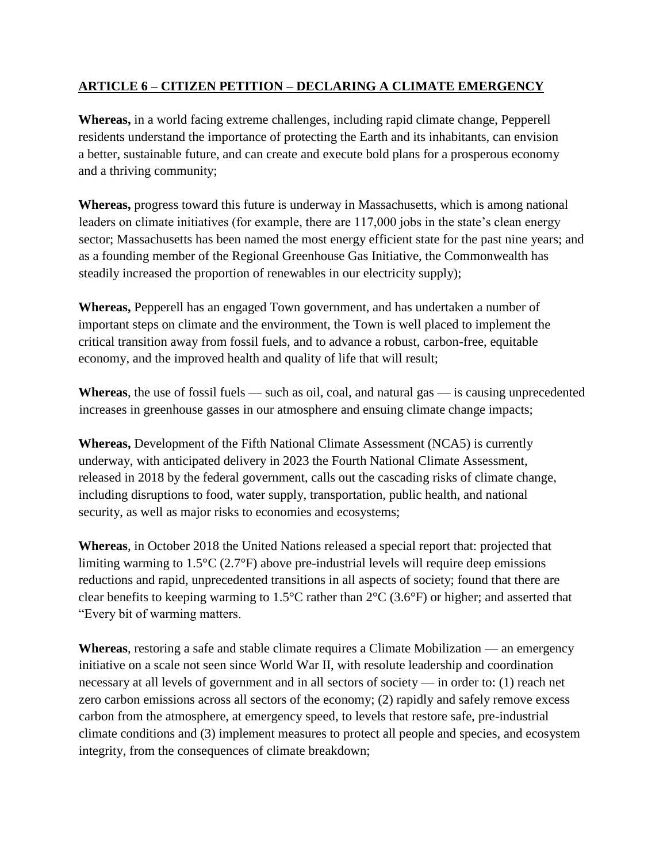## **ARTICLE 6 – CITIZEN PETITION – DECLARING A CLIMATE EMERGENCY**

**Whereas,** in a world facing extreme challenges, including rapid climate change, Pepperell residents understand the importance of protecting the Earth and its inhabitants, can envision a better, sustainable future, and can create and execute bold plans for a prosperous economy and a thriving community;

**Whereas,** progress toward this future is underway in Massachusetts, which is among national leaders on climate initiatives (for example, there are 117,000 jobs in the state's clean energy sector; Massachusetts has been named the most energy efficient state for the past nine years; and as a founding member of the Regional Greenhouse Gas Initiative, the Commonwealth has steadily increased the proportion of renewables in our electricity supply);

**Whereas,** Pepperell has an engaged Town government, and has undertaken a number of important steps on climate and the environment, the Town is well placed to implement the critical transition away from fossil fuels, and to advance a robust, carbon-free, equitable economy, and the improved health and quality of life that will result;

**Whereas**, the use of fossil fuels — such as oil, coal, and natural gas — is causing unprecedented increases in greenhouse gasses in our atmosphere and ensuing climate change impacts;

**Whereas,** Development of the Fifth National Climate Assessment (NCA5) is currently underway, with anticipated delivery in 2023 the Fourth National Climate Assessment, released in 2018 by the federal government, calls out the cascading risks of climate change, including disruptions to food, water supply, transportation, public health, and national security, as well as major risks to economies and ecosystems;

**Whereas**, in October 2018 the United Nations released a special report that: projected that limiting warming to 1.5°C (2.7°F) above pre-industrial levels will require deep emissions reductions and rapid, unprecedented transitions in all aspects of society; found that there are clear benefits to keeping warming to 1.5°C rather than 2°C (3.6°F) or higher; and asserted that "Every bit of warming matters.

**Whereas**, restoring a safe and stable climate requires a Climate Mobilization — an emergency initiative on a scale not seen since World War II, with resolute leadership and coordination necessary at all levels of government and in all sectors of society — in order to: (1) reach net zero carbon emissions across all sectors of the economy; (2) rapidly and safely remove excess carbon from the atmosphere, at emergency speed, to levels that restore safe, pre-industrial climate conditions and (3) implement measures to protect all people and species, and ecosystem integrity, from the consequences of climate breakdown;